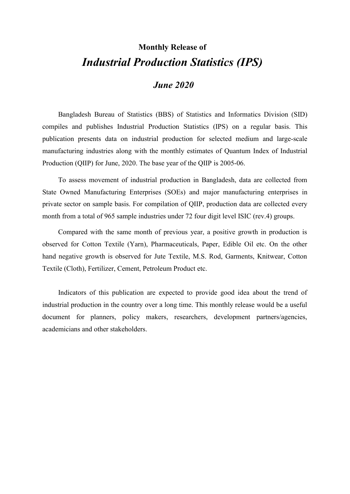# **Monthly Release of** *Industrial Production Statistics (IPS)*

### *June 2020*

Bangladesh Bureau of Statistics (BBS) of Statistics and Informatics Division (SID) compiles and publishes Industrial Production Statistics (IPS) on a regular basis. This publication presents data on industrial production for selected medium and large-scale manufacturing industries along with the monthly estimates of Quantum Index of Industrial Production (QIIP) for June, 2020. The base year of the QIIP is 2005-06.

To assess movement of industrial production in Bangladesh, data are collected from State Owned Manufacturing Enterprises (SOEs) and major manufacturing enterprises in private sector on sample basis. For compilation of QIIP, production data are collected every month from a total of 965 sample industries under 72 four digit level ISIC (rev.4) groups.

Compared with the same month of previous year, a positive growth in production is observed for Cotton Textile (Yarn), Pharmaceuticals, Paper, Edible Oil etc. On the other hand negative growth is observed for Jute Textile, M.S. Rod, Garments, Knitwear, Cotton Textile (Cloth), Fertilizer, Cement, Petroleum Product etc.

Indicators of this publication are expected to provide good idea about the trend of industrial production in the country over a long time. This monthly release would be a useful document for planners, policy makers, researchers, development partners/agencies, academicians and other stakeholders.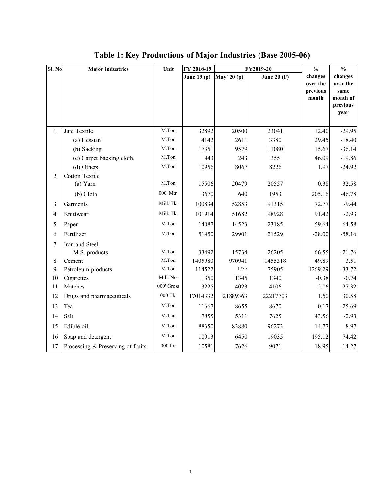| Sl. No         | <b>Major industries</b>           | Unit             | FY 2018-19    |             | FY2019-20     | $\frac{0}{0}$                            | $\frac{0}{0}$                                               |  |
|----------------|-----------------------------------|------------------|---------------|-------------|---------------|------------------------------------------|-------------------------------------------------------------|--|
|                |                                   |                  | June 19 $(p)$ | May' 20 (p) | June 20 $(P)$ | changes<br>over the<br>previous<br>month | changes<br>over the<br>same<br>month of<br>previous<br>year |  |
| $\mathbf{1}$   | Jute Textile                      | M.Ton            | 32892         | 20500       | 23041         | 12.40                                    | $-29.95$                                                    |  |
|                | (a) Hessian                       | M.Ton            | 4142          | 2611        | 3380          | 29.45                                    | $-18.40$                                                    |  |
|                | (b) Sacking                       | M.Ton            | 17351         | 9579        | 11080         | 15.67                                    | $-36.14$                                                    |  |
|                | (c) Carpet backing cloth.         | M.Ton            | 443           | 243         | 355           | 46.09                                    | $-19.86$                                                    |  |
|                | (d) Others                        | M.Ton            | 10956         | 8067        | 8226          | 1.97                                     | $-24.92$                                                    |  |
| 2              | Cotton Textile                    |                  |               |             |               |                                          |                                                             |  |
|                | (a) Yarn                          | M.Ton            | 15506         | 20479       | 20557         | 0.38                                     | 32.58                                                       |  |
|                | (b) Cloth                         | 000' Mtr.        | 3670          | 640         | 1953          | 205.16                                   | $-46.78$                                                    |  |
| 3              | Garments                          | Mill. Tk.        | 100834        | 52853       | 91315         | 72.77                                    | $-9.44$                                                     |  |
| $\overline{4}$ | Knittwear                         | Mill. Tk.        | 101914        | 51682       | 98928         | 91.42                                    | $-2.93$                                                     |  |
| 5              | Paper                             | M.Ton            | 14087         | 14523       | 23185         | 59.64                                    | 64.58                                                       |  |
| 6              | Fertilizer                        | M.Ton            | 51450         | 29901       | 21529         | $-28.00$                                 | $-58.16$                                                    |  |
| $\tau$         | Iron and Steel                    |                  |               |             |               |                                          |                                                             |  |
|                | M.S. products                     | M.Ton            | 33492         | 15734       | 26205         | 66.55                                    | $-21.76$                                                    |  |
| 8              | Cement                            | M.Ton            | 1405980       | 970941      | 1455318       | 49.89                                    | 3.51                                                        |  |
| 9              | Petroleum products                | M.Ton            | 114522        | 1737        | 75905         | 4269.29                                  | $-33.72$                                                    |  |
| 10             | Cigarettes                        | Mill. No.        | 1350          | 1345        | 1340          | $-0.38$                                  | $-0.74$                                                     |  |
| 11             | Matches                           | 000' Gross       | 3225          | 4023        | 4106          | 2.06                                     | 27.32                                                       |  |
| 12             | Drugs and pharmaceuticals         | 000 Tk.          | 17014332      | 21889363    | 22217703      | 1.50                                     | 30.58                                                       |  |
| 13             | Tea                               | M.Ton            | 11667         | 8655        | 8670          | 0.17                                     | $-25.69$                                                    |  |
| 14             | Salt                              | M.Ton            | 7855          | 5311        | 7625          | 43.56                                    | $-2.93$                                                     |  |
| 15             | Edible oil                        | M.Ton            | 88350         | 83880       | 96273         | 14.77                                    | 8.97                                                        |  |
| 16             | Soap and detergent                | M.Ton            | 10913         | 6450        | 19035         | 195.12                                   | 74.42                                                       |  |
| 17             | Processing & Preserving of fruits | $000\;{\rm Ltr}$ | 10581         | 7626        | 9071          | 18.95                                    | $-14.27$                                                    |  |

## **Table 1: Key Productions of Major Industries (Base 2005-06)**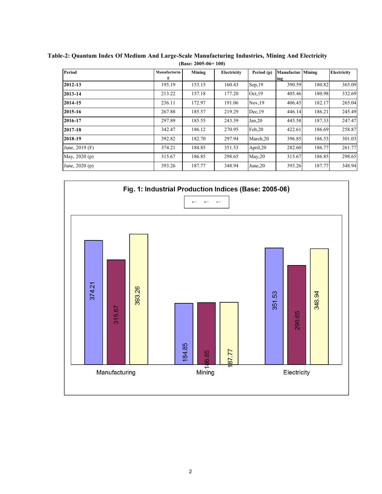| Period          | Manufacturin | Mining | Electricity | Period (p)           | <b>Manufactur Mining</b> |        | Electricity |
|-----------------|--------------|--------|-------------|----------------------|--------------------------|--------|-------------|
|                 | g            |        |             |                      | ing                      |        |             |
| 2012-13         | 195.19       | 153.15 | 160.43      | Sep,19               | 390.59                   | 180.82 | 365.09      |
| 2013-14         | 213.22       | 157.18 | 177.20      | Oct.19               | 405.46                   | 180.98 | 332.69      |
| 2014-15         | 236.11       | 172.97 | 191.06      | Nov.19               | 406.45                   | 182.17 | 265.04      |
| 2015-16         | 267.88       | 185.57 | 219.29      | Dec.19               | 446.14                   | 186.21 | 245.49      |
| 2016-17         | 297.89       | 185.55 | 243.39      | Jan, 20              | 445.58                   | 187.33 | 247.47      |
| 2017-18         | 342.47       | 186.12 | 270.95      | Feb,20               | 422.61                   | 186.69 | 258.87      |
| 2018-19         | 392.82       | 182.70 | 297.94      | March <sub>,20</sub> | 396.85                   | 186.53 | 301.03      |
| June, 2019 (F)  | 374.21       | 184.85 | 351.53      | April, 20            | 282.60                   | 186.77 | 261.77      |
| May, 2020 (p)   | 315.67       | 186.85 | 298.65      | May, 20              | 315.67                   | 186.85 | 298.65      |
| June, $2020(p)$ | 393.26       | 187.77 | 348.94      | June.20              | 393.26                   | 187.77 | 348.94      |
|                 |              |        |             |                      |                          |        |             |

**Table-2: Quantum Index Of Medium And Large-Scale Manufacturing Industries, Mining And Electricity (Base: 2005-06= 100)**

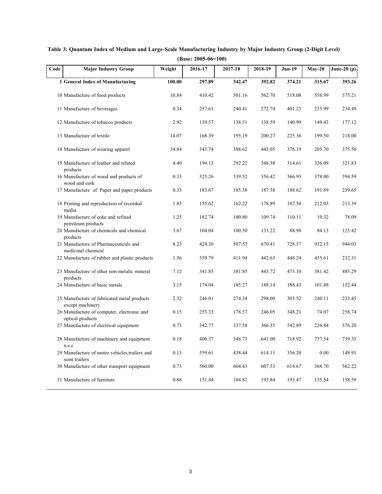|      |                                                                 |          | (Base: $2005-06=100$ ) |             |         |               |          |               |
|------|-----------------------------------------------------------------|----------|------------------------|-------------|---------|---------------|----------|---------------|
| Code | <b>Major Industry Group</b>                                     | Weight   | 2016-17                | $2017 - 18$ | 2018-19 | <b>Jun-19</b> | $May-20$ | June-20 $(p)$ |
|      | 1 General Index of Manufacturing                                | 100.00   | 297.89                 | 342.47      | 392.82  | 374.21        | 315.67   | 393.26        |
|      | 10 Manufacture of food products                                 | 10.84    | 410.42                 | 501.16      | 562.70  | 518.08        | 558.99   | 575.21        |
|      | 11 Manufacture of beverages                                     | 0.34     | 257.61                 | 240.41      | 272.74  | 401.23        | 235.99   | 234.49        |
|      | 12 Manufacture of tobacco products                              | 2.92     | 139.57                 | 138.51      | 138.59  | 140.99        | 149.43   | 177.12        |
|      | 13 Manufacture of textile                                       | 14.07    | 168.39                 | 195.19      | 200.27  | 225.36        | 199.50   | 218.00        |
|      | 14 Manufacture of wearing apparel                               | 34.84    | 343.74                 | 388.62      | 443.05  | 376.19        | 205.70   | 375.50        |
|      | 15 Manufacture of leather and related<br>products               | 4.40     | 194.13                 | 292.22      | 348.58  | 314.61        | 326.09   | 321.83        |
|      | 16 Manufacture of wood and products of<br>wood and cork         | 0.33     | 325.26                 | 339.52      | 356.42  | 366.93        | 378.00   | 394.59        |
|      | 17 Manufacture of Paper and paper products                      | 0.33     | 183.67                 | 185.38      | 187.58  | 188.62        | 191.89   | 239.65        |
|      | 18 Printing and reproduction of recorded<br>media               | 1.83     | 155.62                 | 162.22      | 178.89  | 187.50        | 212.03   | 213.39        |
|      | 19 Manufacture of coke and refined<br>petroleum products        | 1.25     | 182.74                 | 100.80      | 109.74  | 110.11        | 19.32    | 78.09         |
|      | 20 Manufacture of chemicals and chemical<br>products            | 3.67     | 104.04                 | 100.50      | 133.22  | 88.98         | 84.13    | 125.42        |
|      | 21 Manufacture of Pharmaceuticals and<br>medicinal chemical     | 8.23     | 424.30                 | 507.53      | 670.41  | 728.57        | 932.15   | 944.03        |
|      | 22 Manufacture of rubber and plastic products                   | 1.56     | 359.79                 | 411.94      | 442.63  | 448.24        | 455.61   | 232.31        |
|      | 23 Manufacture of other non-metalic mineral<br>products         | 7.12     | 341.85                 | 381.85      | 443.72  | 473.10        | 381.42   | 485.29        |
|      | 24 Manufacture of basic metals                                  | 3.15     | 174.04                 | 185.27      | 188.14  | 188.43        | 101.88   | 152.44        |
|      | 25 Manufacture of fabricated metal products<br>except machinery | 2.32     | 246.01                 | 274.34      | 298.00  | 303.52        | 240.11   | 233.45        |
|      | 26 Manufacture of computer, electronic and<br>optical products  | 0.15     | 253.33                 | 178.57      | 246.05  | 348.21        | 74.07    | 258.74        |
|      | 27 Manufacture of electrical equipment                          | 0.73     | 342.77                 | 337.58      | 366.35  | 542.89        | 226.84   | 576.20        |
|      | 28 Manufacture of machinery and equipment<br>n.e.c              | $0.18\,$ | 406.37                 | 548.73      | 641.00  | 718.92        | 737.54   | 739.35        |
|      | 29 Manufacture of motor vehicles, trailers and<br>semi trailers | 0.13     | 559.61                 | 438.44      | 614.11  | 356.20        | 0.00     | 148.91        |
|      | 30 Manufacture of other transport equipment                     | 0.73     | 560.00                 | 604.43      | 607.53  | 614.67        | 368.70   | 562.22        |
|      | 31 Manufacture of furniture                                     | 0.88     | 151.44                 | 184.81      | 193.84  | 193.47        | 135.54   | 158.58        |

**Table 3: Quantum Index of Medium and Large-Scale Manufacturing Industry by Major Industry Group (2-Digit Level)**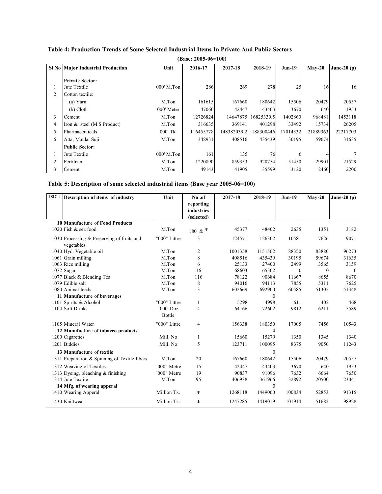|   |                                          |            | $(Base: 2005-06=100)$ |             |            |               |          |               |
|---|------------------------------------------|------------|-----------------------|-------------|------------|---------------|----------|---------------|
|   | <b>SI No Major Industrial Production</b> | Unit       | 2016-17               | 2017-18     | 2018-19    | <b>Jun-19</b> | $Mav-20$ | June-20 $(p)$ |
|   | <b>Private Sector:</b>                   |            |                       |             |            |               |          |               |
|   | Jute Textile                             | 000' M.Ton | 286                   | 269         | 278        | 25            | 16       | 16            |
|   | Cotton textile:                          |            |                       |             |            |               |          |               |
|   | (a) Yarn                                 | M.Ton      | 161615                | 167660      | 180642     | 15506         | 20479    | 20557         |
|   | (b) Cloth                                | 000' Meter | 47060                 | 42447       | 43403      | 3670          | 640      | 1953          |
| 3 | Cement                                   | M.Ton      | 12726824              | 14647875    | 16825330.5 | 1402860       | 968481   | 1453118       |
| 4 | Iron & steel (M.S Product)               | M.Ton      | 316635                | 369141      | 401298     | 33492         | 15734    | 26205         |
|   | Pharmaceuticals                          | 000' Tk.   | 116455778             | 148382039.2 | 188300446  | 17014332      | 21889363 | 22217703      |
| 6 | Atta, Maida, Suji                        | M.Ton      | 348931                | 408516      | 435439     | 30195         | 59674    | 31635         |
|   | <b>Public Sector:</b>                    |            |                       |             |            |               |          |               |
|   | Jute Textile                             | 000' M.Ton | 161                   | 135         | 76         | 6             |          |               |
|   | Fertilizer                               | M.Ton      | 1220890               | 859353      | 920754     | 51450         | 29901    | 21529         |
| 3 | Cement                                   | M.Ton      | 49143                 | 41905       | 35599      | 3120          | 2460     | 2200          |

#### **Table 4: Production Trends of Some Selected Industrial Items In Private And Public Sectors**

#### **Table 5: Description of some selected industrial items (Base year 2005-06=100)**

| ISIC <sub>4</sub><br>Description of items of industry    | Unit                | No.of<br>reporting<br>industries | 2017-18 | 2018-19      | <b>Jun-19</b> | $May-20$ | June-20 $(p)$ |
|----------------------------------------------------------|---------------------|----------------------------------|---------|--------------|---------------|----------|---------------|
|                                                          |                     | (selected)                       |         |              |               |          |               |
| <b>10 Manufacture of Food Products</b>                   |                     |                                  |         |              |               |          |               |
| 1020 Fish & sea food                                     | M.Ton               | 180 & $*$                        | 45377   | 48402        | 2635          | 1351     | 3182          |
| 1030 Processing & Preserving of fruits and<br>vegetables | "000" Littre        | 3                                | 124571  | 126302       | 10581         | 7626     | 9071          |
| 1040 Hyd. Vegetable oil                                  | M.Ton               | $\overline{2}$                   | 1001358 | 1151562      | 88350         | 83880    | 96273         |
| 1061 Grain milling                                       | M.Ton               | 8                                | 408516  | 435439       | 30195         | 59674    | 31635         |
| 1063 Rice milling                                        | M.Ton               | 6                                | 25133   | 27400        | 2499          | 3565     | 3159          |
| 1072 Sugar                                               | M.Ton               | 16                               | 68603   | 65302        | $\mathbf{0}$  | $\theta$ | $\mathbf{0}$  |
| 1077 Black & Blending Tea                                | M.Ton               | 116                              | 78122   | 90684        | 11667         | 8655     | 8670          |
| 1079 Edible salt                                         | M.Ton               | 8                                | 94016   | 94113        | 7855          | 5311     | 7625          |
| 1080 Animal feeds                                        | M.Ton               | 3                                | 602669  | 692900       | 60585         | 51305    | 51348         |
| 11 Manufacture of beverages                              |                     |                                  |         | $\theta$     |               |          |               |
| 1101 Spirits & Alcohol                                   | "000" Littre        |                                  | 5298    | 4998         | 611           | 402      | 468           |
| 1104 Soft Drinks                                         | '000' Doz<br>Bottle | $\overline{4}$                   | 64166   | 72602        | 9812          | 6211     | 5589          |
| 1105 Mineral Water                                       | "000" Littre        | 4                                | 156338  | 180350       | 17005         | 7456     | 10543         |
| 12 Manufacture of tobacco products                       |                     |                                  |         | $\Omega$     |               |          |               |
| 1200 Cigarettes                                          | Mill. No            | $\mathbf{1}$                     | 15660   | 15279        | 1350          | 1345     | 1340          |
| 1201 Biddies                                             | Mill. No            | 5                                | 123711  | 100095       | 8375          | 9050     | 11243         |
| 13 Manufacture of textile                                |                     |                                  |         | $\mathbf{0}$ |               |          |               |
| 1311 Preparation & Spinning of Textile fibers            | M.Ton               | 20                               | 167660  | 180642       | 15506         | 20479    | 20557         |
| 1312 Weaving of Textiles                                 | "000" Metre         | 15                               | 42447   | 43403        | 3670          | 640      | 1953          |
| 1313 Dyeing, bleaching & finishing                       | "000" Metre         | 19                               | 90837   | 91096        | 7632          | 6664     | 7650          |
| 1314 Jute Textile                                        | M.Ton               | 95                               | 406938  | 361966       | 32892         | 20500    | 23041         |
| 14 Mfg. of wearing apperal                               |                     |                                  |         | $\mathbf{0}$ |               |          |               |
| 1410 Wearing Apperal                                     | Million Tk.         | $\ast$                           | 1268118 | 1449060      | 100834        | 52853    | 91315         |
| 1430 Knittwear                                           | Million Tk.         | $\ast$                           | 1247285 | 1419019      | 101914        | 51682    | 98928         |
|                                                          |                     |                                  |         |              |               |          |               |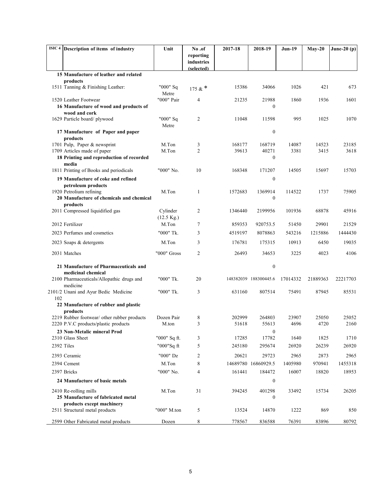|     | ISIC 4 Description of items of industry                     | Unit                             | No.of                   | 2017-18 | 2018-19               | <b>Jun-19</b> | $May-20$ | June-20 $(p)$ |
|-----|-------------------------------------------------------------|----------------------------------|-------------------------|---------|-----------------------|---------------|----------|---------------|
|     |                                                             |                                  | reporting<br>industries |         |                       |               |          |               |
|     | 15 Manufacture of leather and related                       |                                  | (selected)              |         |                       |               |          |               |
|     | products                                                    |                                  |                         |         |                       |               |          |               |
|     | 1511 Tanning & Finishing Leather:                           | "000" Sq<br>Metre                | 175 & $*$               | 15386   | 34066                 | 1026          | 421      | 673           |
|     | 1520 Leather Footwear                                       | "000" Pair                       | 4                       | 21235   | 21988                 | 1860          | 1936     | 1601          |
|     | 16 Manufacture of wood and products of                      |                                  |                         |         | $\mathbf{0}$          |               |          |               |
|     | wood and cork<br>1629 Particle board/plywood                | "000" Sq<br>Metre                | 2                       | 11048   | 11598                 | 995           | 1025     | 1070          |
|     | 17 Manufacture of Paper and paper                           |                                  |                         |         | $\boldsymbol{0}$      |               |          |               |
|     | products<br>1701 Pulp, Paper & newsprint                    | M.Ton                            | 3                       | 168177  | 168719                | 14087         | 14523    | 23185         |
|     | 1709 Articles made of paper                                 | M.Ton                            | 2                       | 39613   | 40271                 | 3381          | 3415     | 3618          |
|     | 18 Printing and reproduction of recorded<br>media           |                                  |                         |         | $\mathbf{0}$          |               |          |               |
|     | 1811 Printing of Books and periodicals                      | "000" No.                        | 10                      | 168348  | 171207                | 14505         | 15697    | 15703         |
|     | 19 Manufacture of coke and refined<br>petroleum products    |                                  |                         |         | $\boldsymbol{0}$      |               |          |               |
|     | 1920 Petrolium refining                                     | M.Ton                            | 1                       | 1572683 | 1369914               | 114522        | 1737     | 75905         |
|     | 20 Manufacture of chemicals and chemical<br>products        |                                  |                         |         | $\boldsymbol{0}$      |               |          |               |
|     | 2011 Compressed liquidified gas                             | Cylinder<br>$(12.5 \text{ Kg.})$ | $\overline{2}$          | 1346440 | 2199956               | 101936        | 68878    | 45916         |
|     | 2012 Fertilizer                                             | M.Ton                            | 7                       | 859353  | 920753.5              | 51450         | 29901    | 21529         |
|     | 2023 Perfumes and cosmetics                                 | "000" Tk.                        | 3                       | 4519197 | 8078863               | 543216        | 1215886  | 1444430       |
|     | 2023 Soaps & detergents                                     | M.Ton                            | 3                       | 176781  | 175315                | 10913         | 6450     | 19035         |
|     | 2031 Matches                                                | "000" Gross                      | 2                       | 26493   | 34653                 | 3225          | 4023     | 4106          |
|     | 21 Manufacture of Pharmaceuticals and<br>medicinal chemical |                                  |                         |         | $\boldsymbol{0}$      |               |          |               |
|     | 2100 Pharmaceuticals/Allopathic drugs and<br>medicine       | "000" Tk.                        | 20                      |         | 148382039 188300445.6 | 17014332      | 21889363 | 22217703      |
| 102 | 2101/2 Unani and Ayur Bedic Medicine                        | "000" Tk.                        | 3                       | 631160  | 807514                | 75491         | 87945    | 85531         |
|     | 22 Manufacture of rubber and plastic<br>products            |                                  |                         |         |                       |               |          |               |
|     | 2219 Rubber footwear/ other rubber products                 | Dozen Pair                       | 8                       | 202999  | 264803                | 23907         | 25050    | 25052         |
|     | 2220 P.V.C products/plastic products                        | M.ton                            |                         | 51618   | 55613                 | 4696          | 4720     | 2160          |
|     | 23 Non-Metalic mineral Prod                                 |                                  |                         |         | $\boldsymbol{0}$      |               |          |               |
|     | 2310 Glass Sheet                                            | "000" Sq ft.                     | 3                       | 17285   | 17782                 | 1640          | 1825     | 1710          |
|     | 2392 Tiles                                                  | "000"Sq ft                       | 5                       | 245180  | 295674                | 26920         | 26239    | 26920         |
|     | 2393 Ceramic                                                | "000" Dz                         | 2                       | 20621   | 29723                 | 2965          | 2873     | 2965          |
|     | 2394 Cement                                                 | M.Ton                            | 8                       |         | 14689780 16860929.5   | 1405980       | 970941   | 1455318       |
|     | 2397 Bricks                                                 | "000" No.                        | 4                       | 161441  | 184472                | 16007         | 18820    | 18953         |
|     | 24 Manufacture of basic metals                              |                                  |                         |         | $\boldsymbol{0}$      |               |          |               |
|     | 2410 Re-rolling mills                                       | M.Ton                            | 31                      | 394245  | 401298                | 33492         | 15734    | 26205         |
|     | 25 Manufacture of fabricated metal                          |                                  |                         |         | 0                     |               |          |               |
|     | products except machinery<br>2511 Structural metal products | "000" M.ton                      | 5                       | 13524   | 14870                 | 1222          | 869      | 850           |
|     | 2599 Other Fabricated metal products                        | Dozen                            | 8                       | 778567  | 836588                | 76391         | 83896    | 80792         |